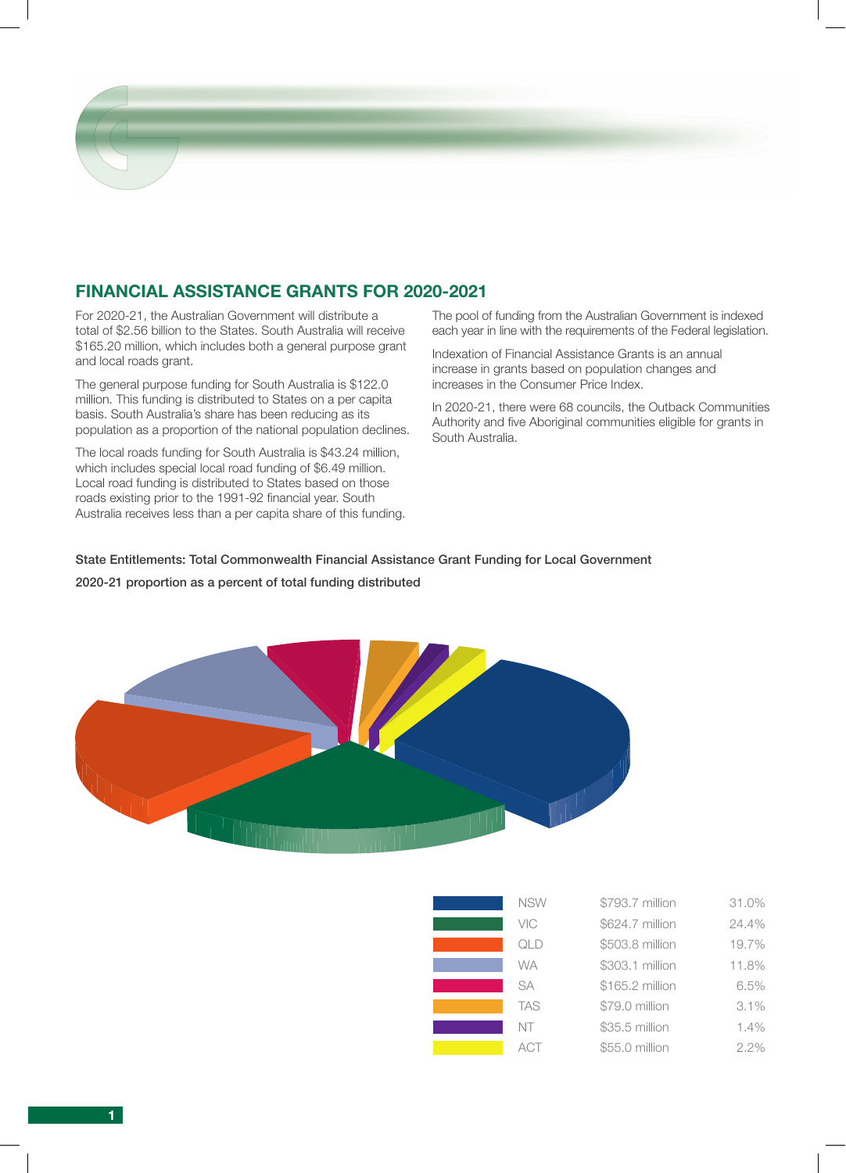

For 2020-21, the Australian Government will distribute a total of \$2.56 billion to the States. South Australia will receive \$165.20 million, which includes both a general purpose grant and local roads grant.

The general purpose funding for South Australia is \$122.0 million. This funding is distributed to States on a per capita basis. South Australia's share has been reducing as its population as a proportion of the national population declines.

The local roads funding for South Australia is \$43.24 million, which includes special local road funding of \$6.49 million. Local road funding is distributed to States based on those roads existing prior to the 1991-92 financial year. South Australia receives less than a per capita share of this funding. The pool of funding from the Australian Government is indexed each year in line with the requirements of the Federal legislation.

Indexation of Financial Assistance Grants is an annual increase in grants based on population changes and increases in the Consumer Price Index.

In 2020-21, there were 68 councils, the Outback Communities Authority and five Aboriginal communities eligible for grants in South Australia.

### State Entitlements: Total Commonwealth Financial Assistance Grant Funding for Local Government

### 2020-21 proportion as a percent of total funding distributed



| <b>NSW</b> | \$793.7 million | 31.0% |
|------------|-----------------|-------|
| VIC        | \$624.7 million | 24.4% |
| QLD        | \$503.8 million | 19.7% |
| <b>WA</b>  | \$303.1 million | 11.8% |
| <b>SA</b>  | \$165.2 million | 6.5%  |
| <b>TAS</b> | \$79.0 million  | 3.1%  |
| NT         | \$35.5 million  | 1.4%  |
| ACT        | \$55.0 million  | 2.2%  |